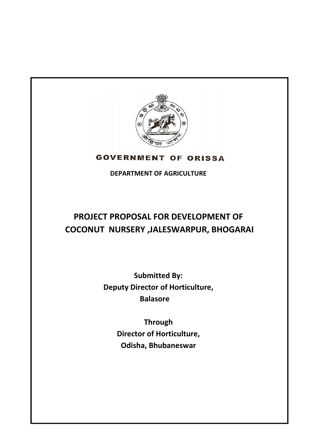

# **GOVERNMENT OF ORISSA**

**DEPARTMENT OF AGRICULTURE**

# **PROJECT PROPOSAL FOR DEVELOPMENT OF COCONUT NURSERY ,JALESWARPUR, BHOGARAI**

**Submitted By: Deputy Director of Horticulture, Balasore** 

> **Through Director of Horticulture, Odisha, Bhubaneswar**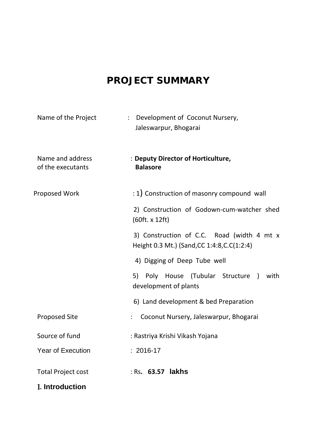# **PROJECT SUMMARY**

| Name of the Project                   | Development of Coconut Nursery,<br>$\ddot{\cdot}$<br>Jaleswarpur, Bhogarai                 |
|---------------------------------------|--------------------------------------------------------------------------------------------|
| Name and address<br>of the executants | : Deputy Director of Horticulture,<br><b>Balasore</b>                                      |
| Proposed Work                         | : 1) Construction of masonry compound wall                                                 |
|                                       | 2) Construction of Godown-cum-watcher shed<br>(60ft. x 12ft)                               |
|                                       | 3) Construction of C.C. Road (width 4 mt x<br>Height 0.3 Mt.) (Sand, CC 1:4:8, C. C(1:2:4) |
|                                       | 4) Digging of Deep Tube well                                                               |
|                                       | 5) Poly House (Tubular Structure )<br>with<br>development of plants                        |
|                                       | 6) Land development & bed Preparation                                                      |
| <b>Proposed Site</b>                  | Coconut Nursery, Jaleswarpur, Bhogarai                                                     |
| Source of fund                        | : Rastriya Krishi Vikash Yojana                                                            |
| <b>Year of Execution</b>              | $: 2016-17$                                                                                |
| <b>Total Project cost</b>             | : Rs. 63.57 lakhs                                                                          |
| 1. Introduction                       |                                                                                            |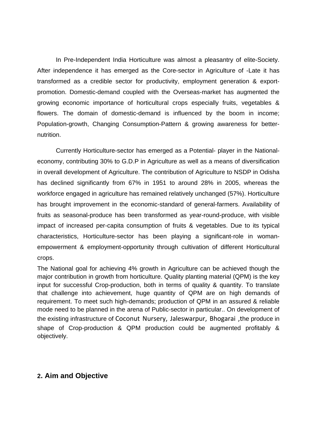In Pre-Independent India Horticulture was almost a pleasantry of elite-Society. After independence it has emerged as the Core-sector in Agriculture of -Late it has transformed as a credible sector for productivity, employment generation & exportpromotion. Domestic-demand coupled with the Overseas-market has augmented the growing economic importance of horticultural crops especially fruits, vegetables & flowers. The domain of domestic-demand is influenced by the boom in income; Population-growth, Changing Consumption-Pattern & growing awareness for betternutrition.

Currently Horticulture-sector has emerged as a Potential- player in the Nationaleconomy, contributing 30% to G.D.P in Agriculture as well as a means of diversification in overall development of Agriculture. The contribution of Agriculture to NSDP in Odisha has declined significantly from 67% in 1951 to around 28% in 2005, whereas the workforce engaged in agriculture has remained relatively unchanged (57%). Horticulture has brought improvement in the economic-standard of general-farmers. Availability of fruits as seasonal-produce has been transformed as year-round-produce, with visible impact of increased per-capita consumption of fruits & vegetables. Due to its typical characteristics, Horticulture-sector has been playing a significant-role in womanempowerment & employment-opportunity through cultivation of different Horticultural crops.

The National goal for achieving 4% growth in Agriculture can be achieved though the major contribution in growth from horticulture. Quality planting material (QPM) is the key input for successful Crop-production, both in terms of quality & quantity. To translate that challenge into achievement, huge quantity of QPM are on high demands of requirement. To meet such high-demands; production of QPM in an assured & reliable mode need to be planned in the arena of Public-sector in particular.. On development of the existing infrastructure of Coconut Nursery, Jaleswarpur, Bhogarai ,the produce in shape of Crop-production & QPM production could be augmented profitably & objectively.

### **2. Aim and Objective**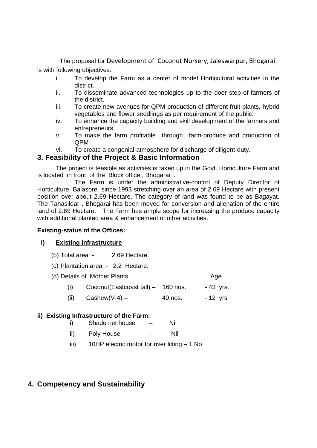The proposal for Development of Coconut Nursery, Jaleswarpur, Bhogarai is with following objectives.

- i. To develop the Farm as a center of model Horticultural activities in the district.
- ii. To disseminate advanced technologies up to the door step of farmers of the district.
- iii. To create new avenues for QPM production of different fruit plants, hybrid vegetables and flower seedlings as per requirement of the public.
- iv. To enhance the capacity building and skill development of the farmers and entrepreneurs.
- v. To make the farm profitable through farm-produce and production of QPM
- vi. To create a congenial-atmosphere for discharge of diligent-duty.

### **3. Feasibility of the Project & Basic Information**

The project is feasible as activities is taken up in the Govt. Horticulture Farm and is located in front of the Block office , Bhogarai .

 The Farm is under the administrative-control of Deputy Director of Horticulture, Balasore since 1993 stretching over an area of 2.69 Hectare with present position over about 2.69 Hectare. The category of land was found to be as Bagayat. The Tahasildar , Bhogarai has been moved for conversion and alienation of the entire land of 2.69 Hectare. The Farm has ample scope for increasing the produce capacity with additional planted area & enhancement of other activities.

#### **Existing-status of the Offices:**

#### **i) Existing Infrastructure**

- (b) Total area :- 2.69 Hectare.
- (c) Plantation area :- 2.2 Hectare.

|     | (d) Details of Mother Plants.       |         | Age       |
|-----|-------------------------------------|---------|-----------|
| (1) | Coconut (Eastcoast tall) - 160 nos. |         | - 43 yrs. |
|     | (ii) $\text{Cashew}(V-4)$ -         | 40 nos. | - 12 yrs  |

#### **ii) Existing Infrastructure of the Farm:**

| i)<br>Shade net house |  | Nil |
|-----------------------|--|-----|
|-----------------------|--|-----|

- ii) Poly House Nil
- iii) 10HP electric motor for river lifting 1 No

## **4. Competency and Sustainability**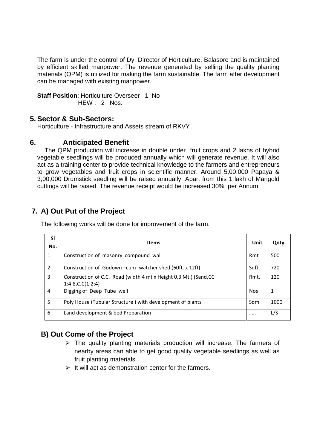The farm is under the control of Dy. Director of Horticulture, Balasore and is maintained by efficient skilled manpower. The revenue generated by selling the quality planting materials (QPM) is utilized for making the farm sustainable. The farm after development can be managed with existing manpower.

**Staff Position: Horticulture Overseer 1 No** HEW: 2 Nos.

### **5. Sector & Sub-Sectors:**

Horticulture - Infrastructure and Assets stream of RKVY

#### **6. Anticipated Benefit**

The QPM production will increase in double under fruit crops and 2 lakhs of hybrid vegetable seedlings will be produced annually which will generate revenue. It will also act as a training center to provide technical knowledge to the farmers and entrepreneurs to grow vegetables and fruit crops in scientific manner. Around 5,00,000 Papaya & 3,00,000 Drumstick seedling will be raised annually. Apart from this 1 lakh of Marigold cuttings will be raised. The revenue receipt would be increased 30% per Annum.

# **7. A) Out Put of the Project**

The following works will be done for improvement of the farm.

| SI<br>No.      | Items                                                                                        | Unit       | Qnty. |
|----------------|----------------------------------------------------------------------------------------------|------------|-------|
| 1              | Construction of masonry compound wall                                                        | Rmt        | 500   |
| 2              | Construction of Godown - cum- watcher shed (60ft. x 12ft)                                    | Sqft.      | 720   |
| 3              | Construction of C.C. Road (width 4 mt x Height 0.3 Mt.) (Sand, CC<br>$1:4:8$ , C.C $(1:2:4)$ | Rmt.       | 120   |
| $\overline{4}$ | Digging of Deep Tube well                                                                    | <b>Nos</b> | 1     |
| 5              | Poly House (Tubular Structure) with development of plants                                    | Sqm.       | 1000  |
| 6              | Land development & bed Preparation                                                           |            | L/S   |

## **B) Out Come of the Project**

- $\triangleright$  The quality planting materials production will increase. The farmers of nearby areas can able to get good quality vegetable seedlings as well as fruit planting materials.
- $\triangleright$  It will act as demonstration center for the farmers.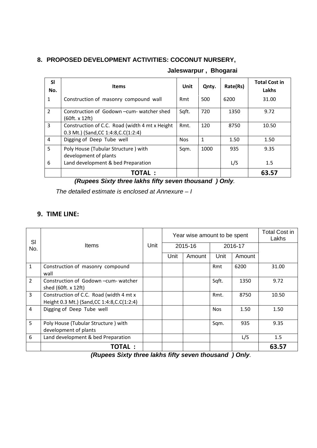### **8. PROPOSED DEVELOPMENT ACTIVITIES: COCONUT NURSERY,**

| <b>SI</b><br>No. | <b>Items</b>                                                                            | <b>Unit</b> | Qnty.        | Rate(Rs) | <b>Total Cost in</b><br>Lakhs |
|------------------|-----------------------------------------------------------------------------------------|-------------|--------------|----------|-------------------------------|
| $\mathbf{1}$     | Construction of masonry compound wall                                                   | Rmt         | 500          | 6200     | 31.00                         |
| 2                | Construction of Godown-cum-watcher shed<br>(60ft. x 12ft)                               | Sqft.       | 720          | 1350     | 9.72                          |
| 3                | Construction of C.C. Road (width 4 mt x Height<br>0.3 Mt.) (Sand, CC 1:4:8, C. C(1:2:4) | Rmt.        | 120          | 8750     | 10.50                         |
| 4                | Digging of Deep Tube well                                                               | <b>Nos</b>  | $\mathbf{1}$ | 1.50     | 1.50                          |
| 5                | Poly House (Tubular Structure) with<br>development of plants                            | Sqm.        | 1000         | 935      | 9.35                          |
| 6                | Land development & bed Preparation                                                      |             |              | L/S      | 1.5                           |
|                  | <b>TOTAL :</b>                                                                          |             |              |          | 63.57                         |

#### **Jaleswarpur , Bhogarai**

 *(Rupees Sixty three lakhs fifty seven thousand ) Only.* 

*The detailed estimate is enclosed at Annexure – I* 

## **9. TIME LINE:**

| SI             | Items                                                                                   | Unit | Year wise amount to be spent |        |            |        | <b>Total Cost in</b><br>Lakhs |
|----------------|-----------------------------------------------------------------------------------------|------|------------------------------|--------|------------|--------|-------------------------------|
| No.            |                                                                                         |      | 2015-16                      |        | 2016-17    |        |                               |
|                |                                                                                         |      | Unit                         | Amount | Unit       | Amount |                               |
| $\mathbf{1}$   | Construction of masonry compound<br>wall                                                |      |                              |        | Rmt        | 6200   | 31.00                         |
| $\overline{2}$ | Construction of Godown-cum-watcher<br>shed (60ft. x 12ft)                               |      |                              |        | Sqft.      | 1350   | 9.72                          |
| 3              | Construction of C.C. Road (width 4 mt x<br>Height 0.3 Mt.) (Sand, CC 1:4:8, C. C(1:2:4) |      |                              |        | Rmt.       | 8750   | 10.50                         |
| 4              | Digging of Deep Tube well                                                               |      |                              |        | <b>Nos</b> | 1.50   | 1.50                          |
| 5              | Poly House (Tubular Structure) with<br>development of plants                            |      |                              |        | Sqm.       | 935    | 9.35                          |
| 6              | Land development & bed Preparation                                                      |      |                              |        |            | L/S    | 1.5                           |
|                | <b>TOTAL:</b>                                                                           |      |                              |        |            |        | 63.57                         |

 *(Rupees Sixty three lakhs fifty seven thousand ) Only.*